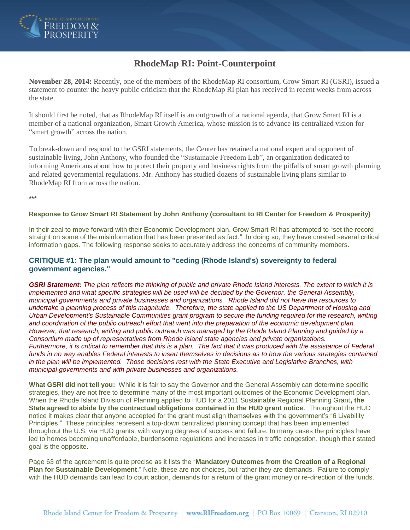

# **RhodeMap RI: Point-Counterpoint**

**November 28, 2014:** Recently, one of the members of the RhodeMap RI consortium, Grow Smart RI (GSRI), issued a statement to counter the heavy public criticism that the RhodeMap RI plan has received in recent weeks from across the state.

It should first be noted, that as RhodeMap RI itself is an outgrowth of a national agenda, that Grow Smart RI is a member of a national organization, Smart Growth America, whose mission is to advance its centralized vision for "smart growth" across the nation.

To break-down and respond to the GSRI statements, the Center has retained a national expert and opponent of sustainable living, John Anthony, who founded the "Sustainable Freedom Lab", an organization dedicated to informing Americans about how to protect their property and business rights from the pitfalls of smart growth planning and related governmental regulations. Mr. Anthony has studied dozens of sustainable living plans similar to RhodeMap RI from across the nation.

**\*\*\***

#### **Response to Grow Smart RI Statement by John Anthony (consultant to RI Center for Freedom & Prosperity)**

In their zeal to move forward with their Economic Development plan, Grow Smart RI has attempted to "set the record straight on some of the misinformation that has been presented as fact." In doing so, they have created several critical information gaps. The following response seeks to accurately address the concerns of community members.

#### **CRITIQUE #1: The plan would amount to "ceding (Rhode Island's) sovereignty to federal government agencies."**

*GSRI Statement: The plan reflects the thinking of public and private Rhode Island interests. The extent to which it is implemented and what specific strategies will be used will be decided by the Governor, the General Assembly, municipal governments and private businesses and organizations. Rhode Island did not have the resources to undertake a planning process of this magnitude. Therefore, the state applied to the US Department of Housing and Urban Development's Sustainable Communities grant program to secure the funding required for the research, writing and coordination of the public outreach effort that went into the preparation of the economic development plan. However, that research, writing and public outreach was managed by the Rhode Island Planning and guided by a Consortium made up of representatives from Rhode Island state agencies and private organizations. Furthermore, it is critical to remember that this is a plan. The fact that it was produced with the assistance of Federal*  funds in no way enables Federal interests to insert themselves in decisions as to how the various strategies contained *in the plan will be implemented. Those decisions rest with the State Executive and Legislative Branches, with municipal governments and with private businesses and organizations.*

**What GSRI did not tell you:** While it is fair to say the Governor and the General Assembly can determine specific strategies, they are not free to determine many of the most important outcomes of the Economic Development plan. When the Rhode Island Division of Planning applied to HUD for a 2011 Sustainable Regional Planning Grant**, the State agreed to abide by the contractual obligations contained in the HUD grant notice**. Throughout the HUD notice it makes clear that anyone accepted for the grant must align themselves with the government's "6 Livability Principles." These principles represent a top-down centralized planning concept that has been implemented throughout the U.S. via HUD grants, with varying degrees of success and failure. In many cases the principles have led to homes becoming unaffordable, burdensome regulations and increases in traffic congestion, though their stated goal is the opposite.

Page 63 of the agreement is quite precise as it lists the "**Mandatory Outcomes from the Creation of a Regional Plan for Sustainable Development**." Note, these are not choices, but rather they are demands. Failure to comply with the HUD demands can lead to court action, demands for a return of the grant money or re-direction of the funds.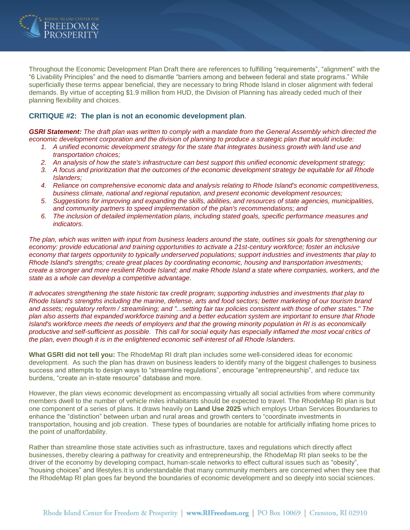

Throughout the Economic Development Plan Draft there are references to fulfilling "requirements", "alignment" with the "6 Livability Principles" and the need to dismantle "barriers among and between federal and state programs." While superficially these terms appear beneficial, they are necessary to bring Rhode Island in closer alignment with federal demands. By virtue of accepting \$1.9 million from HUD, the Division of Planning has already ceded much of their planning flexibility and choices.

#### **CRITIQUE #2: The plan is not an economic development plan**.

*GSRI Statement: The draft plan was written to comply with a mandate from the General Assembly which directed the economic development corporation and the division of planning to produce a strategic plan that would include:*

- *1. A unified economic development strategy for the state that integrates business growth with land use and transportation choices;*
- *2. An analysis of how the state's infrastructure can best support this unified economic development strategy;*
- *3. A focus and prioritization that the outcomes of the economic development strategy be equitable for all Rhode Islanders;*
- *4. Reliance on comprehensive economic data and analysis relating to Rhode Island's economic competitiveness, business climate, national and regional reputation, and present economic development resources;*
- *5. Suggestions for improving and expanding the skills, abilities, and resources of state agencies, municipalities, and community partners to speed implementation of the plan's recommendations; and*
- *6. The inclusion of detailed implementation plans, including stated goals, specific performance measures and indicators.*

*The plan, which was written with input from business leaders around the state, outlines six goals for strengthening our economy: provide educational and training opportunities to activate a 21st-century workforce; foster an inclusive economy that targets opportunity to typically underserved populations; support industries and investments that play to Rhode Island's strengths; create great places by coordinating economic, housing and transportation investments; create a stronger and more resilient Rhode Island; and make Rhode Island a state where companies, workers, and the state as a whole can develop a competitive advantage.*

*It advocates strengthening the state historic tax credit program; supporting industries and investments that play to Rhode Island's strengths including the marine, defense, arts and food sectors; better marketing of our tourism brand and assets; regulatory reform / streamlining; and "...setting fair tax policies consistent with those of other states." The plan also asserts that expanded workforce training and a better education system are important to ensure that Rhode Island's workforce meets the needs of employers and that the growing minority population in RI is as economically productive and self-sufficient as possible. This call for social equity has especially inflamed the most vocal critics of the plan, even though it is in the enlightened economic self-interest of all Rhode Islanders.* 

**What GSRI did not tell you:** The RhodeMap RI draft plan includes some well-considered ideas for economic development. As such the plan has drawn on business leaders to identify many of the biggest challenges to business success and attempts to design ways to "streamline regulations", encourage "entrepreneurship", and reduce tax burdens, "create an in-state resource" database and more.

However, the plan views economic development as encompassing virtually all social activities from where community members dwell to the number of vehicle miles inhabitants should be expected to travel. The RhodeMap RI plan is but one component of a series of plans. It draws heavily on **Land Use 2025** which employs Urban Services Boundaries to enhance the "distinction" between urban and rural areas and growth centers to "coordinate investments in transportation, housing and job creation. These types of boundaries are notable for artificially inflating home prices to the point of unaffordability.

Rather than streamline those state activities such as infrastructure, taxes and regulations which directly affect businesses, thereby clearing a pathway for creativity and entrepreneurship, the RhodeMap RI plan seeks to be the driver of the economy by developing compact, human-scale networks to effect cultural issues such as "obesity", "housing choices" and lifestyles.It is understandable that many community members are concerned when they see that the RhodeMap RI plan goes far beyond the boundaries of economic development and so deeply into social sciences.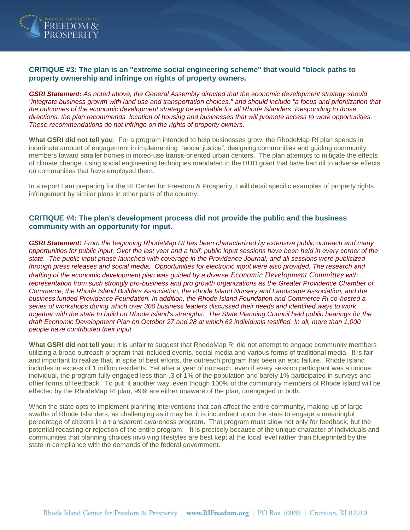

### **CRITIQUE #3: The plan is an "extreme social engineering scheme" that would "block paths to property ownership and infringe on rights of property owners.**

*GSRI Statement: As noted above, the General Assembly directed that the economic development strategy should "integrate business growth with land use and transportation choices," and should include "a focus and prioritization that the outcomes of the economic development strategy be equitable for all Rhode Islanders. Responding to those directions, the plan recommends location of housing and businesses that will promote access to work opportunities. These recommendations do not infringe on the rights of property owners.*

**What GSRI did not tell you**: For a program intended to help businesses grow, the RhodeMap RI plan spends in inordinate amount of engagement in implementing "social justice", designing communities and guiding community members toward smaller homes in mixed-use transit-oriented urban centers. The plan attempts to mitigate the effects of climate change, using social engineering techniques mandated in the HUD grant that have had nil to adverse effects on communities that have employed them.

In a report I am preparing for the RI Center for Freedom & Prosperity, I will detail specific examples of property rights infringement by similar plans in other parts of the country.

#### **CRITIQUE #4: The plan's development process did not provide the public and the business community with an opportunity for input.**

*GSRI Statement***:** *From the beginning RhodeMap RI has been characterized by extensive public outreach and many opportunities for public input. Over the last year and a half, public input sessions have been held in every corner of the state. The public input phase launched with coverage in the Providence Journal, and all sessions were publicized through press releases and social media. Opportunities for electronic input were also provided. The research and drafting of the economic development plan was guided by a diverse [Economic Development Committee](http://r20.rs6.net/tn.jsp?f=001qpZuwt3zltbRvxcWlSwTRcRFf5_9f5AdZCulcmw7WxYav1BI4qMD4vFAGTvb9dLr7WRnsjidP7q6nOmKN90mM8EMziIVPT88TuZEjBomMPX_SmCuUV3N14s9cKK-0Kas0poqVybOHBAa-WpBjc2AMdZRqE1ZPjawOvGZnNUBLd60mEiHNi2lAHytW6h_MoRJvafIL3_5FyoNWvBhzJ3ijg==&c=ANUy3R1R9fB9bHt_sWmGB6SFdWORo9rvFXOlkxAKWX4jCaPsx70RMA==&ch=u792qNbJBV15LIf7-3cNnVo7i93g9KVvobhsWXXuG0DldlBU2R8vJA==) with representation from such strongly pro-business and pro growth organizations as the Greater Providence Chamber of Commerce, the Rhode Island Builders Association, the Rhode Island Nursery and Landscape Association, and the business funded Providence Foundation. In addition, the Rhode Island Foundation and Commerce RI co-hosted a series of workshops during which over 300 business leaders discussed their needs and identified ways to work together with the state to build on Rhode Island's strengths. The State Planning Council held public hearings for the draft Economic Development Plan on October 27 and 28 at which 62 individuals testified. In all, more than 1,000 people have contributed their input.*

**What GSRI did not tell you:** It is unfair to suggest that RhodeMap RI did not attempt to engage community members utilizing a broad outreach program that included events, social media and various forms of traditional media. It is fair and important to realize that, in spite of best efforts, the outreach program has been an epic failure. Rhode Island includes in excess of 1 million residents. Yet after a year of outreach, even if every session participant was a unique individual, the program fully engaged less than .3 of 1% of the population and barely 1% participated in surveys and other forms of feedback. To put it another way, even though 100% of the community members of Rhode Island will be effected by the RhodeMap RI plan, 99% are either unaware of the plan, unengaged or both.

When the state opts to implement planning interventions that can affect the entire community, making-up of large swaths of Rhode Islanders, as challenging as it may be, it is incumbent upon the state to engage a meaningful percentage of citizens in a transparent awareness program. That program must allow not only for feedback, but the potential recasting or rejection of the entire program. It is precisely because of the unique character of individuals and communities that planning choices involving lifestyles are best kept at the local level rather than blueprinted by the state in compliance with the demands of the federal government.